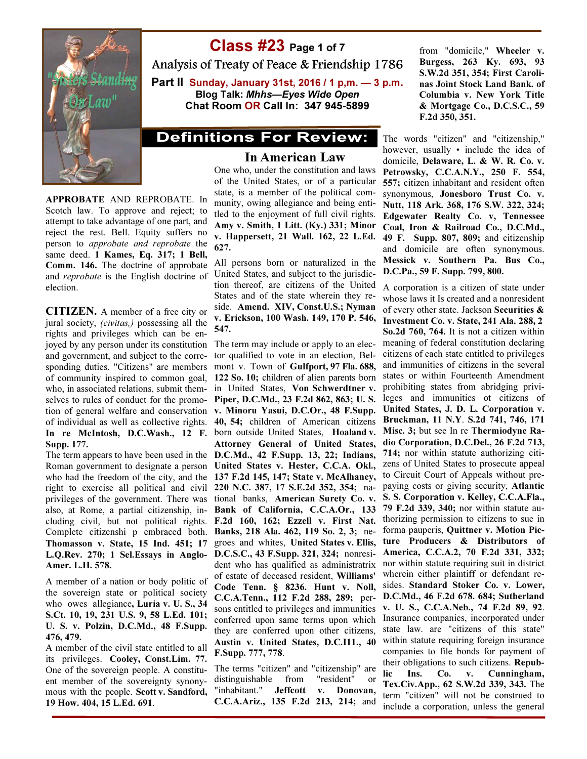

Class #23 Page 1 of 7

Analysis of Treaty of Peace & Friendship 1786 Part II Sunday, January 31st, 2016 / 1 p,m. — 3 p.m. Blog Talk: Mhhs—Eyes Wide Open Chat Room OR Call In: 347 945-5899

# **Definitions For Review:**

## In American Law

APPROBATE AND REPROBATE. In Scotch law. To approve and reject; to attempt to take advantage of one part, and reject the rest. Bell. Equity suffers no person to approbate and reprobate the same deed. 1 Kames, Eq. 317; 1 Bell, Comm. 146. The doctrine of approbate and reprobate is the English doctrine of election.

CITIZEN. A member of a free city or jural society, *(civitas,)* possessing all the rights and privileges which can be enjoyed by any person under its constitution and government, and subject to the corresponding duties. "Citizens" are members of community inspired to common goal, who, in associated relations, submit themselves to rules of conduct for the promoof individual as well as collective rights. In re McIntosh, D.C.Wash., 12 F. Supp. 177.

The term appears to have been used in the D.C.Md., 42 F.Supp. 13, 22; Indians, right to exercise all political and civil 220 N.C. 387, 17 S.E.2d 352, 354; naalso, at Rome, a partial citizenship, including civil, but not political rights. Complete citizenshi p embraced both. Thomasson v. State, 15 Ind. 451; 17 L.Q.Rev. 270; 1 Sel.Essays in Anglo-Amer. L.H. 578.

A member of a nation or body politic of the sovereign state or political society who owes allegiance, Luria v. U. S., 34 S.Ct. 10, 19, 231 U.S. 9, 58 L.Ed. 101; U. S. v. Polzin, D.C.Md., 48 F.Supp. 476, 479.

A member of the civil state entitled to all its privileges. Cooley, Const.Lim. 77. One of the sovereign people. A constituent member of the sovereignty synonymous with the people. Scott v. Sandford, 19 How. 404, 15 L.Ed. 691.

One who, under the constitution and laws of the United States, or of a particular state, is a member of the political community, owing allegiance and being entitled to the enjoyment of full civil rights. Amy v. Smith, 1 Litt. (Ky.) 331; Minor v. Happersett, 21 Wall. 162, 22 L.Ed. 627.

All persons born or naturalized in the United States, and subject to the jurisdiction thereof, are citizens of the United States and of the state wherein they reside. Amend. XIV, Const.U.S.; Nyman v. Erickson, 100 Wash. 149, 170 P. 546, 547.

tion of general welfare and conservation v. Minoru Yasui, D.C.Or., 48 F.Supp. Roman government to designate a person United States v. Hester, C.C.A. Okl., who had the freedom of the city, and the 137 F.2d 145, 147; State v. McAlhaney, privileges of the government. There was tional banks, American Surety Co. v. The term may include or apply to an elector qualified to vote in an election, Belmont v. Town of Gulfport, 97 Fla. 688, 122 So. 10; children of alien parents born in United States, Von Schwerdtner v. Piper, D.C.Md., 23 F.2d 862, 863; U. S. 40, 54; children of American citizens born outside United States, Hoaland v. Attorney General of United States, Bank of California, C.C.A.Or., 133 F.2d 160, 162; Ezzell v. First Nat. Banks, 218 Ala. 462, 119 So. 2, 3; negroes and whites, United States v. Ellis, D.C.S.C., 43 F.Supp. 321, 324; nonresident who has qualified as administratrix of estate of deceased resident, Williams' Code Tenn. § 8236. Hunt v. Noll, C.C.A.Tenn., 112 F.2d 288, 289; persons entitled to privileges and immunities conferred upon same terms upon which they are conferred upon other citizens, Austin v. United States, D.C.I11., 40 F.Supp. 777, 778.

> The terms "citizen" and "citizenship" are<br>distinguishable from "resident" or distinguishable from "resident" or "inhabitant." Jeffcott v. Donovan, C.C.A.Ariz., 135 F.2d 213, 214; and

from "domicile," Wheeler v. Burgess, 263 Ky. 693, 93 S.W.2d 351, 354; First Carolinas Joint Stock Land Bank. of Columbia v. New York Title & Mortgage Co., D.C.S.C., 59 F.2d 350, 351.

The words "citizen" and "citizenship," however, usually • include the idea of domicile, Delaware, L. & W. R. Co. v. Petrowsky, C.C.A.N.Y., 250 F. 554, 557; citizen inhabitant and resident often synonymous, Jonesboro Trust Co. v. Nutt, 118 Ark. 368, 176 S.W. 322, 324; Edgewater Realty Co. v, Tennessee Coal, Iron & Railroad Co., D.C.Md., 49 F. Supp. 807, 809; and citizenship and domicile are often synonymous. Messick v. Southern Pa. Bus Co., D.C.Pa., 59 F. Supp. 799, 800.

A corporation is a citizen of state under whose laws it Is created and a nonresident of every other state. Jackson Securities & Investment Co. v. State, 241 Ala. 288, 2 So.2d 760, 764. It is not a citizen within meaning of federal constitution declaring citizens of each state entitled to privileges and immunities of citizens in the several states or within Fourteenth Amendment prohibiting states from abridging privileges and immunities ot citizens of United States, J. D. L. Corporation v. Bruckman, 11 N.Y. S.2d 741, 746, 171 Misc. 3; but see In re Thermiodyne Radio Corporation, D.C.Del., 26 F.2d 713, 714; nor within statute authorizing citizens of United States to prosecute appeal to Circuit Court of Appeals without prepaying costs or giving security, Atlantic S. S. Corporation v. Kelley, C.C.A.Fla., 79 F.2d 339, 340; nor within statute authorizing permission to citizens to sue in forma pauperis, Quittner v. Motion Picture Producers & Distributors of America, C.C.A.2, 70 F.2d 331, 332; nor within statute requiring suit in district wherein either plaintiff or defendant resides. Standard Stoker Co. v. Lower, D.C.Md., 46 F.2d 678. 684; Sutherland v. U. S., C.C.A.Neb., 74 F.2d 89, 92. Insurance companies, incorporated under state law. are "citizens of this state" within statute requiring foreign insurance companies to file bonds for payment of their obligations to such citizens. Republic Ins. Co. v. Cunningham, Tex.Civ.App., 62 S.W.2d 339, 343. The term "citizen" will not be construed to include a corporation, unless the general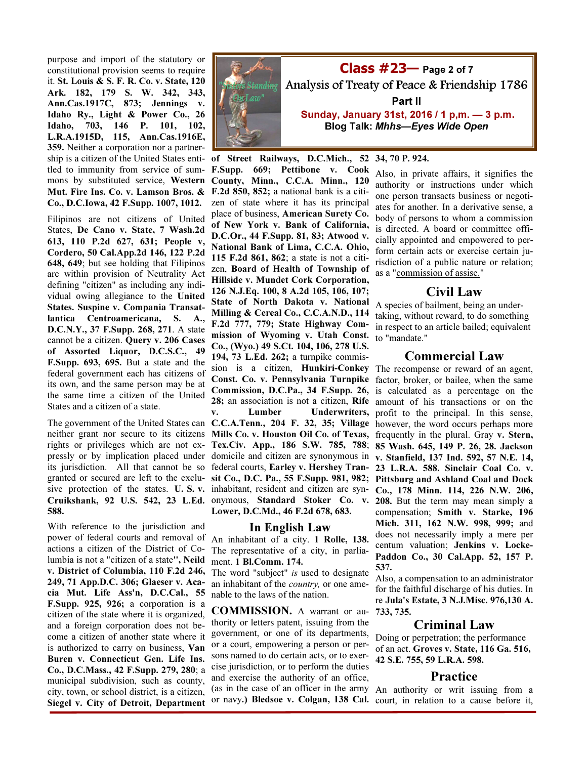purpose and import of the statutory or constitutional provision seems to require it. St. Louis & S. F. R. Co. v. State, 120 Ark. 182, 179 S. W. 342, 343, Ann.Cas.1917C, 873; Jennings v. Idaho Ry., Light & Power Co., 26 Idaho, 703, 146 P. 101, 102, L.R.A.1915D, 115, Ann.Cas.1916E, 359. Neither a corporation nor a partnership is a citizen of the United States enti- of Street Railways, D.C.Mich., 52 34, 70 P. 924. tled to immunity from service of summons by substituted service, Western Mut. Fire Ins. Co. v. Lamson Bros. & Co., D.C.Iowa, 42 F.Supp. 1007, 1012.

Filipinos are not citizens of United States, De Cano v. State, 7 Wash.2d 613, 110 P.2d 627, 631; People v, Cordero, 50 Cal.App.2d 146, 122 P.2d 648, 649; but see holding that Filipinos are within provision of Neutrality Act defining "citizen" as including any individual owing allegiance to the United States. Suspine v. Compania Transatlantica Centroamericana, S. A., D.C.N.Y., 37 F.Supp. 268, 271. A state cannot be a citizen. Query v. 206 Cases of Assorted Liquor, D.C.S.C., 49 F.Supp. 693, 695. But a state and the federal government each has citizens of its own, and the same person may be at the same time a citizen of the United States and a citizen of a state.

neither grant nor secure to its citizens Mills Co. v. Houston Oil Co. of Texas, rights or privileges which are not expressly or by implication placed under sive protection of the states. U. S. v. inhabitant, resident and citizen are syn-Cruikshank, 92 U.S. 542, 23 L.Ed. onymous, Standard Stoker Co. v. 588.

With reference to the jurisdiction and power of federal courts and removal of actions a citizen of the District of Columbia is not a "citizen of a state", Neild v. District of Columbia, 110 F.2d 246, 249, 71 App.D.C. 306; Glaeser v. Acacia Mut. Life Ass'n, D.C.Cal., 55 F.Supp. 925, 926; a corporation is a citizen of the state where it is organized, and a foreign corporation does not become a citizen of another state where it is authorized to carry on business, Van Buren v. Connecticut Gen. Life Ins. Co., D.C.Mass., 42 F.Supp. 279, 280; a municipal subdivision, such as county, city, town, or school district, is a citizen, Siegel v. City of Detroit, Department



County, Minn., C.C.A. Minn., 120 F.2d 850, 852; a national bank is a citizen of state where it has its principal place of business, American Surety Co. of New York v. Bank of California, D.C.Or., 44 F.Supp. 81, 83; Atwood v. National Bank of Lima, C.C.A. Ohio, 115 F.2d 861, 862; a state is not a citizen, Board of Health of Township of Hillside v. Mundet Cork Corporation, 126 N.J.Eq. 100, 8 A.2d 105, 106, 107; State of North Dakota v. National Milling & Cereal Co., C.C.A.N.D., 114 F.2d 777, 779; State Highway Commission of Wyoming v. Utah Const. Co., (Wyo.) 49 S.Ct. 104, 106, 278 U.S. 194, 73 L.Ed. 262; a turnpike commission is a citizen, Hunkiri-Conkey Const. Co. v. Pennsylvania Turnpike Commission, D.C.Pa., 34 F.Supp. 26, 28; an association is not a citizen, Rife v. Lumber Underwriters, Tex.Civ. App., 186 S.W. 785, 788;

F.Supp. 669; Pettibone v. Cook

Lower, D.C.Md., 46 F.2d 678, 683.

## In English Law

An inhabitant of a city. 1 Rolle, 138. The representative of a city, in parliament. 1 Bl.Comm. 174.

The word "subject" is used to designate an inhabitant of the *country*, or one amenable to the laws of the nation.

COMMISSION. A warrant or authority or letters patent, issuing from the government, or one of its departments, or a court, empowering a person or persons named to do certain acts, or to exercise jurisdiction, or to perform the duties and exercise the authority of an office, (as in the case of an officer in the army

Also, in private affairs, it signifies the authority or instructions under which one person transacts business or negotiates for another. In a derivative sense, a body of persons to whom a commission is directed. A board or committee officially appointed and empowered to perform certain acts or exercise certain jurisdiction of a public nature or relation; as a "commission of assise."

# Civil Law

A species of bailment, being an undertaking, without reward, to do something in respect to an article bailed; equivalent to "mandate."

# Commercial Law

The government of the United States can C.C.A.Tenn., 204 F. 32, 35; Village however, the word occurs perhaps more its jurisdiction. All that cannot be so federal courts, Earley v. Hershey Tran-23 L.R.A. 588. Sinclair Coal Co. v. granted or secured are left to the exclu- sit Co., D.C. Pa., 55 F.Supp. 981, 982; Pittsburg and Ashland Coal and Dock domicile and citizen are synonymous in v. Stanfield, 137 Ind. 592, 57 N.E. 14, The recompense or reward of an agent, factor, broker, or bailee, when the same is calculated as a percentage on the amount of his transactions or on the profit to the principal. In this sense, frequently in the plural. Gray v. Stern, 85 Wash. 645, 149 P. 26, 28. Jackson Co., 178 Minn. 114, 226 N.W. 206, 208. But the term may mean simply a compensation; Smith v. Starke, 196 Mich. 311, 162 N.W. 998, 999; and does not necessarily imply a mere per centum valuation; Jenkins v. Locke-Paddon Co., 30 Cal.App. 52, 157 P. 537.

> Also, a compensation to an administrator for the faithful discharge of his duties. In re Jula's Estate, 3 N.J.Misc. 976,130 A. 733, 735.

## Criminal Law

Doing or perpetration; the performance of an act. Groves v. State, 116 Ga. 516, 42 S.E. 755, 59 L.R.A. 598.

## Practice

or navy.) Bledsoe v. Colgan, 138 Cal. court, in relation to a cause before it, An authority or writ issuing from a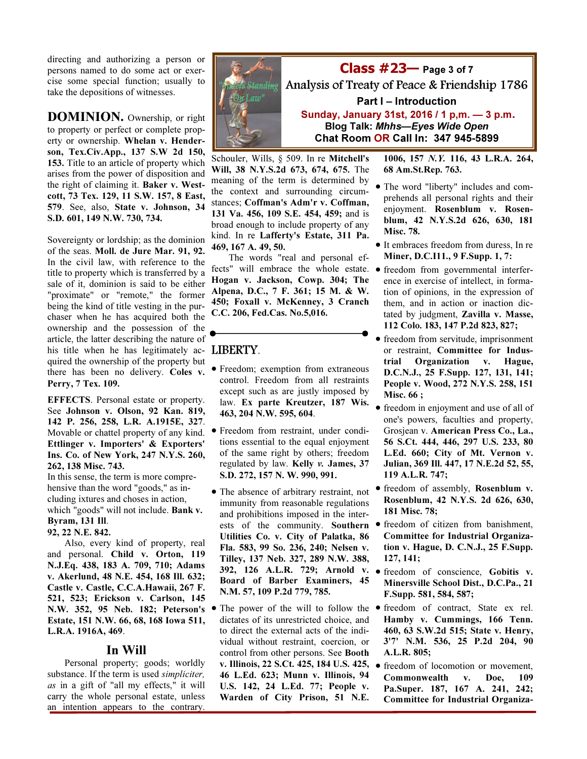directing and authorizing a person or persons named to do some act or exercise some special function; usually to take the depositions of witnesses.

DOMINION. Ownership, or right to property or perfect or complete property or ownership. Whelan v. Henderson, Tex.Civ.App., 137 S.W 2d 150, 153. Title to an article of property which arises from the power of disposition and the right of claiming it. Baker v. Westcott, 73 Tex. 129, 11 S.W. 157, 8 East, 579. See, also, State v. Johnson, 34 S.D. 601, 149 N.W. 730, 734.

Sovereignty or lordship; as the dominion of the seas. Moll. de Jure Mar. 91, 92. In the civil law, with reference to the title to property which is transferred by a sale of it, dominion is said to be either "proximate" or "remote," the former being the kind of title vesting in the purchaser when he has acquired both the ownership and the possession of the article, the latter describing the nature of his title when he has legitimately acquired the ownership of the property but there has been no delivery. Coles v. Perry, 7 Tex. 109.

EFFECTS. Personal estate or property. See Johnson v. Olson, 92 Kan. 819, 142 P. 256, 258, L.R. A.1915E, 327. Movable or chattel property of any kind. Ettlinger v. Importers' & Exporters' Ins. Co. of New York, 247 N.Y.S. 260, 262, 138 Misc. 743.

In this sense, the term is more comprehensive than the word "goods," as including ixtures and choses in action, which "goods" will not include. Bank v. Byram, 131 Ill.

## 92, 22 N.E. 842.

Also, every kind of property, real and personal. Child v. Orton, 119 N.J.Eq. 438, 183 A. 709, 710; Adams v. Akerlund, 48 N.E. 454, 168 Ill. 632; Castle v. Castle, C.C.A.Hawaii, 267 F. 521, 523; Erickson v. Carlson, 145 N.W. 352, 95 Neb. 182; Peterson's Estate, 151 N.W. 66, 68, 168 Iowa 511, L.R.A. 1916A, 469.

## In Will

Personal property; goods; worldly substance. If the term is used *simpliciter*, as in a gift of "all my effects," it will carry the whole personal estate, unless an intention appears to the contrary.



Schouler, Wills, § 509. In re Mitchell's Will, 38 N.Y.S.2d 673, 674, 675. The meaning of the term is determined by the context and surrounding circumstances; Coffman's Adm'r v. Coffman, 131 Va. 456, 109 S.E. 454, 459; and is broad enough to include property of any kind. In re Lafferty's Estate, 311 Pa. 469, 167 A. 49, 50.

The words "real and personal effects" will embrace the whole estate. • freedom from governmental interfer-Hogan v. Jackson, Cowp. 304; The Alpena, D.C., 7 F. 361; 15 M. & W. 450; Foxall v. McKenney, 3 Cranch C.C. 206, Fed.Cas. No.5,016.

# LIBERTY.

- Freedom; exemption from extraneous control. Freedom from all restraints except such as are justly imposed by law. Ex parte Kreutzer, 187 Wis. 463, 204 N.W. 595, 604.
- Freedom from restraint, under conditions essential to the equal enjoyment of the same right by others; freedom regulated by law. Kelly v. James, 37 S.D. 272, 157 N. W. 990, 991.
- The absence of arbitrary restraint, not immunity from reasonable regulations and prohibitions imposed in the interests of the community. Southern Utilities Co. v. City of Palatka, 86 Fla. 583, 99 So. 236, 240; Nelsen v. Tilley, 137 Neb. 327, 289 N.W. 388, 392, 126 A.L.R. 729; Arnold v. Board of Barber Examiners, 45 N.M. 57, 109 P.2d 779, 785.
- dictates of its unrestricted choice, and to direct the external acts of the individual without restraint, coercion, or control from other persons. See Booth v. Illinois, 22 S.Ct. 425, 184 U.S. 425, 46 L.Ed. 623; Munn v. Illinois, 94 U.S. 142, 24 L.Ed. 77; People v. Warden of City Prison, 51 N.E.

1006, 157 N.Y. 116, 43 L.R.A. 264, 68 Am.St.Rep. 763.

- The word "liberty" includes and comprehends all personal rights and their enjoyment. Rosenblum v. Rosenblum, 42 N.Y.S.2d 626, 630, 181 Misc. 78.
- It embraces freedom from duress, In re Miner, D.C.I11., 9 F.Supp. 1, 7:
- ence in exercise of intellect, in formation of opinions, in the expression of them, and in action or inaction dictated by judgment, Zavilla v. Masse, 112 Colo. 183, 147 P.2d 823, 827;
- freedom from servitude, imprisonment or restraint, Committee for Industrial Organization v. Hague, D.C.N.J., 25 F.Supp. 127, 131, 141; People v. Wood, 272 N.Y.S. 258, 151 Misc. 66 ;
- freedom in enjoyment and use of all of one's powers, faculties and property, Grosjean v. American Press Co., La., 56 S.Ct. 444, 446, 297 U.S. 233, 80 L.Ed. 660; City of Mt. Vernon v. Julian, 369 Ill. 447, 17 N.E.2d 52, 55, 119 A.L.R. 747;
- freedom of assembly, Rosenblum v. Rosenblum, 42 N.Y.S. 2d 626, 630, 181 Misc. 78;
- freedom of citizen from banishment, Committee for Industrial Organization v. Hague, D. C.N.J., 25 F.Supp. 127, 141;
- freedom of conscience, Gobitis v. Minersville School Dist., D.C.Pa., 21 F.Supp. 581, 584, 587;
- The power of the will to follow the freedom of contract, State ex rel. Hamby v. Cummings, 166 Tenn. 460, 63 S.W.2d 515; State v. Henry, 3'7' N.M. 536, 25 P.2d 204, 90 A.L.R. 805;
	- freedom of locomotion or movement. Commonwealth v. Doe, 109 Pa.Super. 187, 167 A. 241, 242; Committee for Industrial Organiza-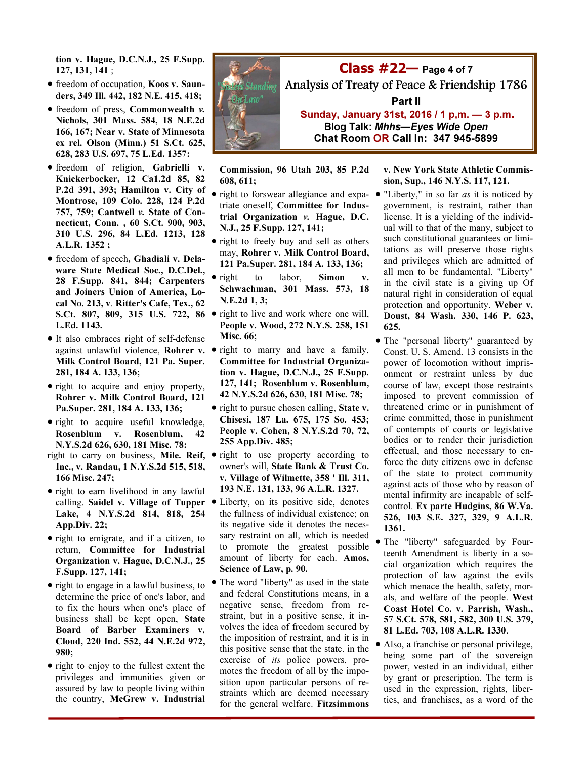tion v. Hague, D.C.N.J., 25 F.Supp. 127, 131, 141 ;

- freedom of occupation, Koos v. Saunders, 349 Ill. 442, 182 N.E. 415, 418;
- freedom of press, Commonwealth v. Nichols, 301 Mass. 584, 18 N.E.2d 166, 167; Near v. State of Minnesota ex rel. Olson (Minn.) 51 S.Ct. 625, 628, 283 U.S. 697, 75 L.Ed. 1357:
- freedom of religion, Gabrielli v. Knickerbocker, 12 Ca1.2d 85, 82 P.2d 391, 393; Hamilton v. City of Montrose, 109 Colo. 228, 124 P.2d 757, 759; Cantwell v. State of Connecticut, Conn. , 60 S.Ct. 900, 903, 310 U.S. 296, 84 L.Ed. 1213, 128 A.L.R. 1352 ;
- freedom of speech, Ghadiali v. Delaware State Medical Soc., D.C.Del., 28 F.Supp. 841, 844; Carpenters and Joiners Union of America, Local No. 213, v. Ritter's Cafe, Tex., 62 S.Ct. 807, 809, 315 U.S. 722, 86  $\bullet$  right to live and work where one will, L.Ed. 1143.
- It also embraces right of self-defense against unlawful violence, Rohrer v. Milk Control Board, 121 Pa. Super. 281, 184 A. 133, 136;
- right to acquire and enjoy property, Rohrer v. Milk Control Board, 121 Pa.Super. 281, 184 A. 133, 136;
- right to acquire useful knowledge, Rosenblum v. Rosenblum, 42 N.Y.S.2d 626, 630, 181 Misc. 78:
- right to carry on business, **Mile. Reif, •** right to use property according to Inc., v. Randau, 1 N.Y.S.2d 515, 518, 166 Misc. 247;
- right to earn livelihood in any lawful calling. Saidel v. Village of Tupper Lake, 4 N.Y.S.2d 814, 818, 254 App.Div. 22;
- right to emigrate, and if a citizen, to return, Committee for Industrial Organization v. Hague, D.C.N.J., 25 F.Supp. 127, 141;
- right to engage in a lawful business, to determine the price of one's labor, and to fix the hours when one's place of business shall be kept open, State Board of Barber Examiners v. Cloud, 220 Ind. 552, 44 N.E.2d 972, 980;
- right to enjoy to the fullest extent the privileges and immunities given or assured by law to people living within the country, McGrew v. Industrial



Commission, 96 Utah 203, 85 P.2d 608, 611;

- triate oneself, Committee for Industrial Organization v. Hague, D.C. N.J., 25 F.Supp. 127, 141;
- right to freely buy and sell as others may, Rohrer v. Milk Control Board, 121 Pa.Super. 281, 184 A. 133, 136;
- right to labor, Simon v. Schwachman, 301 Mass. 573, 18 N.E.2d 1, 3;
- People v. Wood, 272 N.Y.S. 258, 151 Misc. 66;
- right to marry and have a family, Committee for Industrial Organization v. Hague, D.C.N.J., 25 F.Supp. 127, 141; Rosenblum v. Rosenblum, 42 N.Y.S.2d 626, 630, 181 Misc. 78;
- right to pursue chosen calling, State v. Chisesi, 187 La. 675, 175 So. 453; People v. Cohen, 8 N.Y.S.2d 70, 72, 255 App.Div. 485;
- owner's will, State Bank & Trust Co. v. Village of Wilmette, 358 ' Ill. 311, 193 N.E. 131, 133, 96 A.L.R. 1327.
- Liberty, on its positive side, denotes the fullness of individual existence; on its negative side it denotes the necessary restraint on all, which is needed to promote the greatest possible amount of liberty for each. Amos, Science of Law, p. 90.
- The word "liberty" as used in the state and federal Constitutions means, in a negative sense, freedom from restraint, but in a positive sense, it involves the idea of freedom secured by the imposition of restraint, and it is in this positive sense that the state. in the exercise of its police powers, promotes the freedom of all by the imposition upon particular persons of restraints which are deemed necessary for the general welfare. Fitzsimmons

#### v. New York State Athletic Commission, Sup., 146 N.Y.S. 117, 121.

- right to forswear allegiance and expa- "Liberty," in so far *as* it is noticed by government, is restraint, rather than license. It is a yielding of the individual will to that of the many, subject to such constitutional guarantees or limitations as will preserve those rights and privileges which are admitted of all men to be fundamental. "Liberty" in the civil state is a giving up Of natural right in consideration of equal protection and opportunity. Weber v. Doust, 84 Wash. 330, 146 P. 623, 625.
	- The "personal liberty" guaranteed by Const. U. S. Amend. 13 consists in the power of locomotion without imprisonment or restraint unless by due course of law, except those restraints imposed to prevent commission of threatened crime or in punishment of crime committed, those in punishment of contempts of courts or legislative bodies or to render their jurisdiction effectual, and those necessary to enforce the duty citizens owe in defense of the state to protect community against acts of those who by reason of mental infirmity are incapable of selfcontrol. Ex parte Hudgins, 86 W.Va. 526, 103 S.E. 327, 329, 9 A.L.R. 1361.
	- The "liberty" safeguarded by Fourteenth Amendment is liberty in a social organization which requires the protection of law against the evils which menace the health, safety, morals, and welfare of the people. West Coast Hotel Co. v. Parrish, Wash., 57 S.Ct. 578, 581, 582, 300 U.S. 379, 81 L.Ed. 703, 108 A.L.R. 1330.
	- Also, a franchise or personal privilege, being some part of the sovereign power, vested in an individual, either by grant or prescription. The term is used in the expression, rights, liberties, and franchises, as a word of the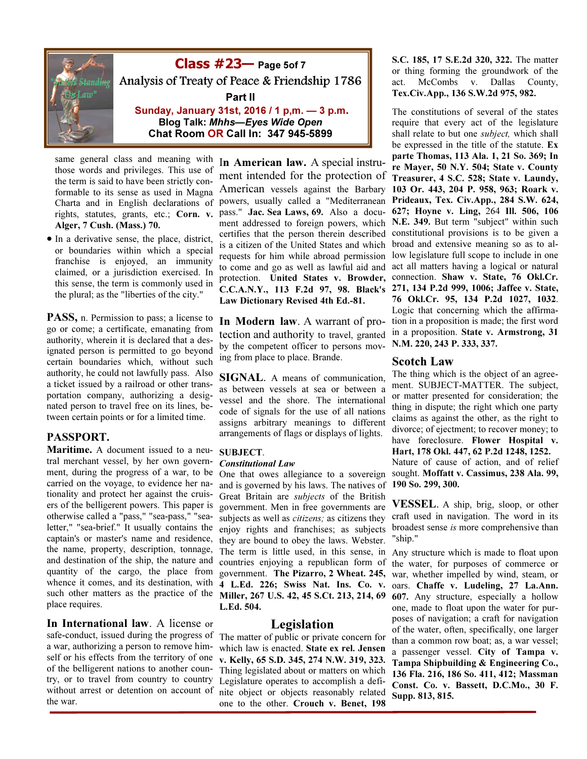

 $Class$   $#23$  Page 5of 7 Analysis of Treaty of Peace & Friendship 1786 Part II Sunday, January 31st, 2016 / 1 p,m. — 3 p.m. Blog Talk: Mhhs—Eyes Wide Open Chat Room OR Call In: 347 945-5899

same general class and meaning with those words and privileges. This use of the term is said to have been strictly conformable to its sense as used in Magna Charta and in English declarations of Alger, 7 Cush. (Mass.) 70.

• In a derivative sense, the place, district, or boundaries within which a special franchise is enjoyed, an immunity claimed, or a jurisdiction exercised. In this sense, the term is commonly used in the plural; as the "liberties of the city."

PASS, n. Permission to pass; a license to go or come; a certificate, emanating from authority, wherein it is declared that a designated person is permitted to go beyond certain boundaries which, without such authority, he could not lawfully pass. Also a ticket issued by a railroad or other transportation company, authorizing a designated person to travel free on its lines, between certain points or for a limited time.

## PASSPORT.

**Maritime.** A document issued to a neutral merchant vessel, by her own government, during the progress of a war, to be carried on the voyage, to evidence her nationality and protect her against the cruisers of the belligerent powers. This paper is otherwise called a "pass," "sea-pass," "sealetter," "sea-brief." It usually contains the captain's or master's name and residence, the name, property, description, tonnage, and destination of the ship, the nature and quantity of the cargo, the place from place requires.

# In International law. A license or

safe-conduct, issued during the progress of a war, authorizing a person to remove himself or his effects from the territory of one of the belligerent nations to another counwithout arrest or detention on account of the war.

rights, statutes, grants, etc.; Corn. v. pass." Jac. Sea Laws, 69. Also a docu-In American law. A special instruis a citizen of the United States and which broad and extensive meaning so as to al-Law Dictionary Revised 4th Ed.-81.

> tection and authority to travel, granted by the competent officer to persons moving from place to place. Brande.

> SIGNAL. A means of communication, as between vessels at sea or between a vessel and the shore. The international code of signals for the use of all nations assigns arbitrary meanings to different arrangements of flags or displays of lights.

#### SUBJECT.

#### Constitutional Law

such other matters as the practice of the Miller, 267 U.S. 42, 45 S.Ct. 213, 214, 69 One that owes allegiance to a sovereign and is governed by his laws. The natives of Great Britain are subjects of the British government. Men in free governments are subjects as well as *citizens*; as citizens they enjoy rights and franchises; as subjects they are bound to obey the laws. Webster. L.Ed. 504.

## Legislation

try, or to travel from country to country Legislature operates to accomplish a defi-The matter of public or private concern for which law is enacted. State ex rel. Jensen v. Kelly, 65 S.D. 345, 274 N.W. 319, 323. Thing legislated about or matters on which nite object or objects reasonably related one to the other. Crouch v. Benet, 198

S.C. 185, 17 S.E.2d 320, 322. The matter or thing forming the groundwork of the act. McCombs v. Dallas County, Tex.Civ.App., 136 S.W.2d 975, 982.

ment intended for the protection of Treasurer, 4 S.C. 528; State v. Laundy, American vessels against the Barbary 103 Or. 443, 204 P. 958, 963; Roark v. powers, usually called a "Mediterranean Prideaux, Tex. Civ.App., 284 S.W. 624, ment addressed to foreign powers, which N.E. 349. But term "subject" within such certifies that the person therein described constitutional provisions is to be given a requests for him while abroad permission low legislature full scope to include in one to come and go as well as lawful aid and act all matters having a logical or natural protection. United States v. Browder, connection. Shaw v. State, 76 Okl.Cr. C.C.A.N.Y., 113 F.2d 97, 98. Black's 271, 134 P.2d 999, 1006; Jaffee v. State, In Modern law. A warrant of pro- tion in a proposition is made; the first word The constitutions of several of the states require that every act of the legislature shall relate to but one subject, which shall be expressed in the title of the statute. Ex parte Thomas, 113 Ala. 1, 21 So. 369; In re Mayer, 50 N.Y. 504; State v. County 627; Hoyne v. Ling, 264 Ill. 506, 106 76 Okl.Cr. 95, 134 P.2d 1027, 1032. Logic that concerning which the affirmain a proposition. State v. Armstrong, 31 N.M. 220, 243 P. 333, 337.

## Scotch Law

The thing which is the object of an agreement. SUBJECT-MATTER. The subject, or matter presented for consideration; the thing in dispute; the right which one party claims as against the other, as the right to divorce; of ejectment; to recover money; to have foreclosure. Flower Hospital v. Hart, 178 Okl. 447, 62 P.2d 1248, 1252. Nature of cause of action, and of relief

sought. Moffatt v. Cassimus, 238 Ala. 99, 190 So. 299, 300.

VESSEL. A ship, brig, sloop, or other craft used in navigation. The word in its broadest sense is more comprehensive than "ship."

whence it comes, and its destination, with 4 L.Ed. 226; Swiss Nat. Ins. Co. v. oars. Chaffe v. Ludeling, 27 La.Ann. The term is little used, in this sense, in Any structure which is made to float upon countries enjoying a republican form of the water, for purposes of commerce or government. The Pizarro, 2 Wheat. 245, war, whether impelled by wind, steam, or 607. Any structure, especially a hollow one, made to float upon the water for purposes of navigation; a craft for navigation of the water, often, specifically, one larger than a common row boat; as, a war vessel; a passenger vessel. City of Tampa v. Tampa Shipbuilding & Engineering Co., 136 Fla. 216, 186 So. 411, 412; Massman Const. Co. v. Bassett, D.C.Mo., 30 F. Supp. 813, 815.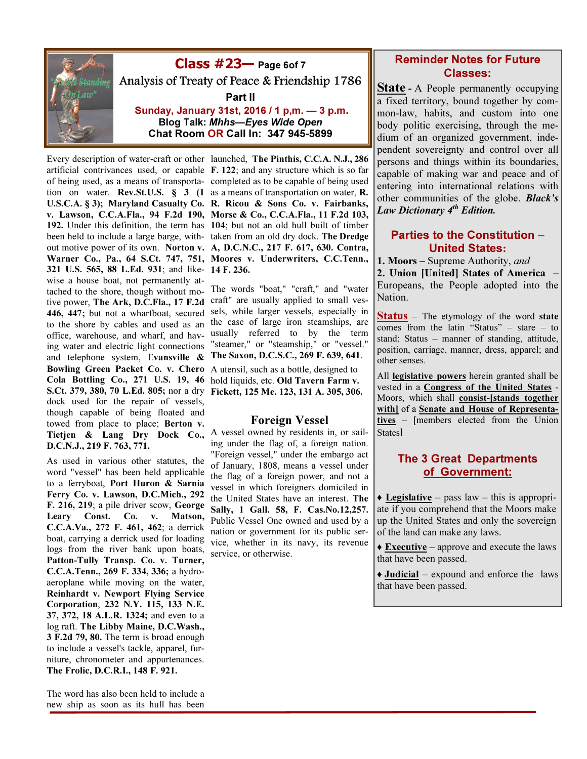

 $Class$   $#23$  Page 6of 7 Analysis of Treaty of Peace & Friendship 1786 Part II Sunday, January 31st, 2016 / 1 p,m. — 3 p.m. Blog Talk: Mhhs—Eyes Wide Open Chat Room OR Call In: 347 945-5899

321 U.S. 565, 88 L.Ed. 931; and like-14 F. 236. wise a house boat, not permanently attached to the shore, though without motive power, The Ark, D.C.Fla., 17 F.2d 446, 447; but not a wharfboat, secured to the shore by cables and used as an office, warehouse, and wharf, and having water and electric light connections and telephone system, Evansville & Bowling Green Packet Co. v. Chero Cola Bottling Co., 271 U.S. 19, 46 S.Ct. 379, 380, 70 L.Ed. 805; nor a dry dock used for the repair of vessels, though capable of being floated and towed from place to place; Berton v. Tietjen & Lang Dry Dock Co., D.C.N.J., 219 F. 763, 771.

As used in various other statutes, the word "vessel" has been held applicable to a ferryboat, Port Huron & Sarnia Ferry Co. v. Lawson, D.C.Mich., 292 F. 216, 219; a pile driver scow, George Leary Const. Co. v. Matson, C.C.A.Va., 272 F. 461, 462; a derrick boat, carrying a derrick used for loading logs from the river bank upon boats, Patton-Tully Transp. Co. v. Turner, C.C.A.Tenn., 269 F. 334, 336; a hydroaeroplane while moving on the water, Reinhardt v. Newport Flying Service Corporation, 232 N.Y. 115, 133 N.E. 37, 372, 18 A.L.R. 1324; and even to a log raft. The Libby Maine, D.C.Wash., 3 F.2d 79, 80. The term is broad enough to include a vessel's tackle, apparel, furniture, chronometer and appurtenances. The Frolic, D.C.R.I., 148 F. 921.

The word has also been held to include a new ship as soon as its hull has been

Every description of water-craft or other launched, The Pinthis, C.C.A. N.J., 286 artificial contrivances used, or capable F. 122; and any structure which is so far of being used, as a means of transporta-completed as to be capable of being used tion on water. Rev.St.U.S.  $\S$  3 (1 as a means of transportation on water, R. U.S.C.A. § 3); Maryland Casualty Co. R. Ricou & Sons Co. v. Fairbanks, v. Lawson, C.C.A.Fla., 94 F.2d 190, Morse & Co., C.C.A.Fla., 11 F.2d 103, 192. Under this definition, the term has 104; but not an old hull built of timber been held to include a large barge, with- taken from an old dry dock. The Dredge out motive power of its own. Norton v. A, D.C.N.C., 217 F. 617, 630. Contra, Warner Co., Pa., 64 S.Ct. 747, 751, Moores v. Underwriters, C.C.Tenn.,

> The words "boat," "craft," and "water craft" are usually applied to small vessels, while larger vessels, especially in the case of large iron steamships, are usually referred to by the term "steamer," or "steamship," or "vessel." The Saxon, D.C.S.C., 269 F. 639, 641.

A utensil, such as a bottle, designed to hold liquids, etc. Old Tavern Farm v. Fickett, 125 Me. 123, 131 A. 305, 306.

# Foreign Vessel

A vessel owned by residents in, or sailing under the flag of, a foreign nation. "Foreign vessel," under the embargo act of January, 1808, means a vessel under the flag of a foreign power, and not a vessel in which foreigners domiciled in the United States have an interest. The Sally, 1 Gall. 58, F. Cas.No.12,257. Public Vessel One owned and used by a nation or government for its public service, whether in its navy, its revenue service, or otherwise.

# Reminder Notes for Future Classes:

**State** - A People permanently occupying a fixed territory, bound together by common-law, habits, and custom into one body politic exercising, through the medium of an organized government, independent sovereignty and control over all persons and things within its boundaries, capable of making war and peace and of entering into international relations with other communities of the globe. Black's Law Dictionary 4<sup>th</sup> Edition.

# Parties to the Constitution – United States:

1. Moors – Supreme Authority, and

2. Union [United] States of America – Europeans, the People adopted into the Nation.

**Status** – The etymology of the word state comes from the latin "Status" – stare – to stand; Status – manner of standing, attitude, position, carriage, manner, dress, apparel; and other senses.

All legislative powers herein granted shall be vested in a Congress of the United States - Moors, which shall consist-[stands together with] of a Senate and House of Representatives – [members elected from the Union States]

# The 3 Great Departments of Government:

 $\triangle$  Legislative – pass law – this is appropriate if you comprehend that the Moors make up the United States and only the sovereign of the land can make any laws.

 $\triangle$  **Executive** – approve and execute the laws that have been passed.

♦ Judicial – expound and enforce the laws that have been passed.